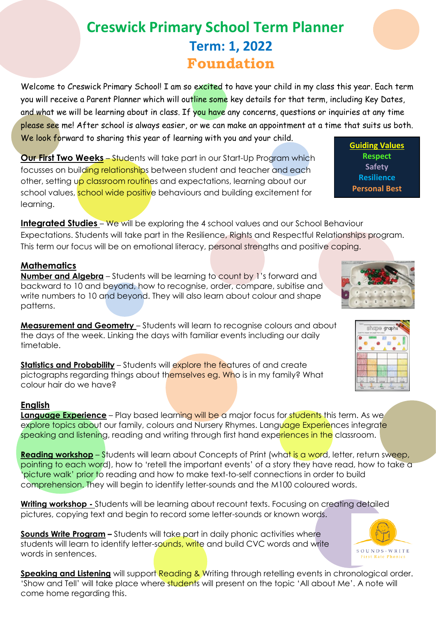## **Creswick Primary School Term Planner Term: 1, 2022 Foundation**

Welcome to Creswick Primary School! I am so excited to have your child in my class this year. Each term you will receive a Parent Planner which will outline some key details for that term, including Key Dates, and what we will be learning about in class. If you have any concerns, questions or inquiries at any time please see me! After school is always easier, or we can make an appointment at a time that suits us both. We look forward to sharing this year of learning with you and your child.

**Our First Two Weeks** – Students will take part in our Start-Up Program which focusses on building relationships between student and teacher and each other, setting up classroom routines and expectations, learning about our school values, school wide positive behaviours and building excitement for learning.

**Integrated Studies** – We will be exploring the 4 school values and our School Behaviour Expectations. Students will take part in the Resilience, Rights and Respectful Relationships program. This term our focus will be on emotional literacy, personal strengths and positive coping.

## **Mathematics**

**Number and Algebra** – Students will be learning to count by 1's forward and backward to 10 and beyond, how to recognise, order, compare, subitise and write numbers to 10 and beyond. They will also learn about colour and shape patterns.

**Measurement and Geometry** – Students will learn to recognise colours and about the days of the week. Linking the days with familiar events including our daily timetable.

**Statistics and Probability** – Students will explore the features of and create pictographs regarding things about themselves eg. Who is in my family? What colour hair do we have?

## **English**

**Language Experience** – Play based learning will be a major focus for students this term. As we explore topics about our family, colours and Nursery Rhymes. Language Experiences integrate speaking and listening, reading and writing through first hand experiences in the classroom.

**Reading workshop** – Students will learn about Concepts of Print (what is a word, letter, return sweep, pointing to each word), how to 'retell the important events' of a story they have read, how to take a 'picture walk' prior to reading and how to make text-to-self connections in order to build comprehension. They will begin to identify letter-sounds and the M100 coloured words.

**Writing workshop -** Students will be learning about recount texts. Focusing on creating detailed pictures, copying text and begin to record some letter-sounds or known words.

**Sounds Write Program –** Students will take part in daily phonic activities where students will learn to identify letter-sounds, write and build CVC words and write words in sentences.

**Speaking and Listening** will support Reading & Writing through retelling events in chronological order. 'Show and Tell' will take place where students will present on the topic 'All about Me'. A note will come home regarding this.



**Guiding Values Respect Safety Resilience Personal Best**